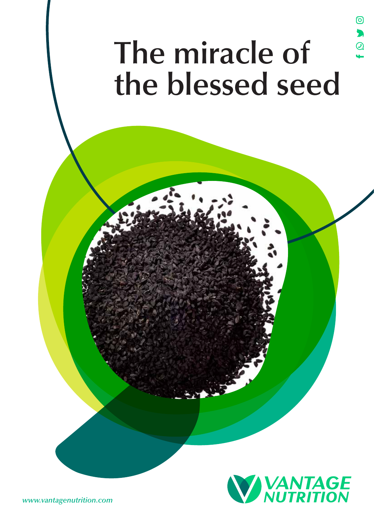# **The miracle of the blessed seed**

ම

 $\bullet$ 



*www.vantagenutrition.com*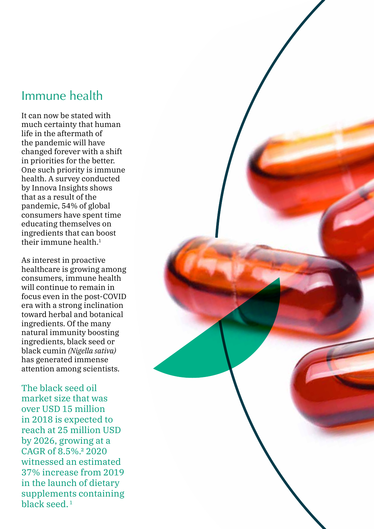## Immune health

It can now be stated with much certainty that human life in the aftermath of the pandemic will have changed forever with a shift in priorities for the better. One such priority is immune health. A survey conducted by Innova Insights shows that as a result of the pandemic, 54% of global consumers have spent time educating themselves on ingredients that can boost their immune health.1

As interest in proactive healthcare is growing among consumers, immune health will continue to remain in focus even in the post-COVID era with a strong inclination toward herbal and botanical ingredients. Of the many natural immunity boosting ingredients, black seed or black cumin *(Nigella sativa)* has generated immense attention among scientists.

The black seed oil market size that was over USD 15 million in 2018 is expected to reach at 25 million USD by 2026, growing at a CAGR of 8.5%.² 2020 witnessed an estimated 37% increase from 2019 in the launch of dietary supplements containing black seed. 1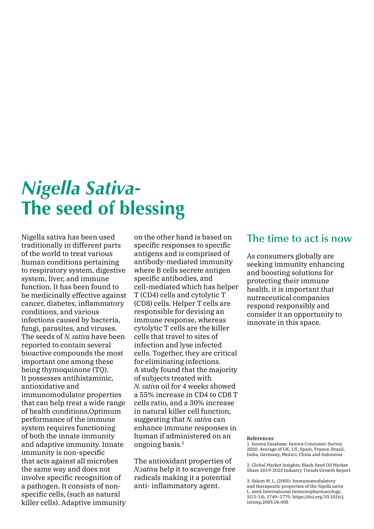## *Nigella Sativa-***The seed of blessing**

Nigella sativa has been used traditionally in different parts of the world to treat various human conditions pertaining to respiratory system, digestive system, liver, and immune function. It has been found to be medicinally effective against cancer, diabetes, inflammatory conditions, and various infections caused by bacteria, fungi, parasites, and viruses. The seeds of *N. sativa* have been reported to contain several bioactive compounds the most important one among these being thymoquinone (TO). It possesses antihistaminic, antioxidative and immunomodulator properties that can help treat a wide range of health conditions.Optimum performance of the immune system requires functioning of both the innate immunity and adaptive immunity. Innate immunity is non-specific that acts against all microbes the same way and does not involve specific recognition of a pathogen. It consists of nonspecific cells, (such as natural killer cells). Adaptive immunity

on the other hand is based on specific responses to specific antigens and is comprised of antibody-mediated immunity where B cells secrete antigen specific antibodies, and cell-mediated which has helper T (CD4) cells and cytolytic T (CD8) cells. Helper T cells are responsible for devising an immune response, whereas cytolytic T cells are the killer cells that travel to sites of infection and lyse infected cells. Together, they are critical for eliminating infections. A study found that the majority of subjects treated with *N. sativa* oil for 4 weeks showed a 55% increase in CD4 to CD8 T cells ratio, and a 30% increase in natural killer cell function, suggesting that *N. sativa* can enhance immune responses in human if administered on an ongoing basis.3

The antioxidant properties of *N.sativa* help it to scavenge free radicals making it a potential anti- inflammatory agent.

## **The time to act is now**

As consumers globally are seeking immunity enhancing and boosting solutions for protecting their immune health, it is important that nutraceutical companies respond responsibly and consider it an opportunity to innovate in this space.

### References

1. Innova Database: Innova Consumer Survey 2020. Average of UK, US, Spain, France, Brazil, India, Germany, Mexico, China and Indonesia

2. Global Market Insights; Black Seed Oil Market Share 2019-2025 Industry Trends Growth Report

3. Salem M. L. (2005). Immunomodulatory and therapeutic properties of the *Nigella sativa* L. seed.International Immunopharmacology, 5(13-14), 1749–1770. https://doi.org/10.1016/j. intimp.2005.06.008